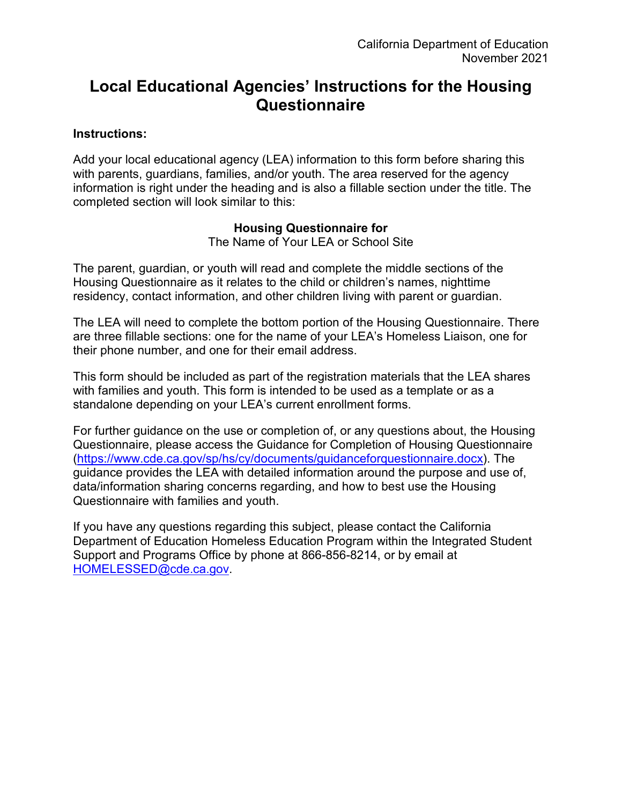# **Local Educational Agencies' Instructions for the Housing Questionnaire**

#### **Instructions:**

Add your local educational agency (LEA) information to this form before sharing this with parents, guardians, families, and/or youth. The area reserved for the agency information is right under the heading and is also a fillable section under the title. The completed section will look similar to this:

## **Housing Questionnaire for**

The Name of Your LEA or School Site

The parent, guardian, or youth will read and complete the middle sections of the Housing Questionnaire as it relates to the child or children's names, nighttime residency, contact information, and other children living with parent or guardian.

The LEA will need to complete the bottom portion of the Housing Questionnaire. There are three fillable sections: one for the name of your LEA's Homeless Liaison, one for their phone number, and one for their email address.

This form should be included as part of the registration materials that the LEA shares with families and youth. This form is intended to be used as a template or as a standalone depending on your LEA's current enrollment forms.

For further guidance on the use or completion of, or any questions about, the Housing Questionnaire, please access the Guidance for Completion of Housing Questionnaire [\(https://www.cde.ca.gov/sp/hs/cy/documents/guidanceforquestionnaire.docx\)](https://www.cde.ca.gov/sp/hs/cy/documents/guidanceforquestionnaire.docx). The guidance provides the LEA with detailed information around the purpose and use of, data/information sharing concerns regarding, and how to best use the Housing Questionnaire with families and youth.

If you have any questions regarding this subject, please contact the California Department of Education Homeless Education Program within the Integrated Student Support and Programs Office by phone at 866-856-8214, or by email at [HOMELESSED@cde.ca.gov.](mailto:HOMELESSED@cde.ca.gov)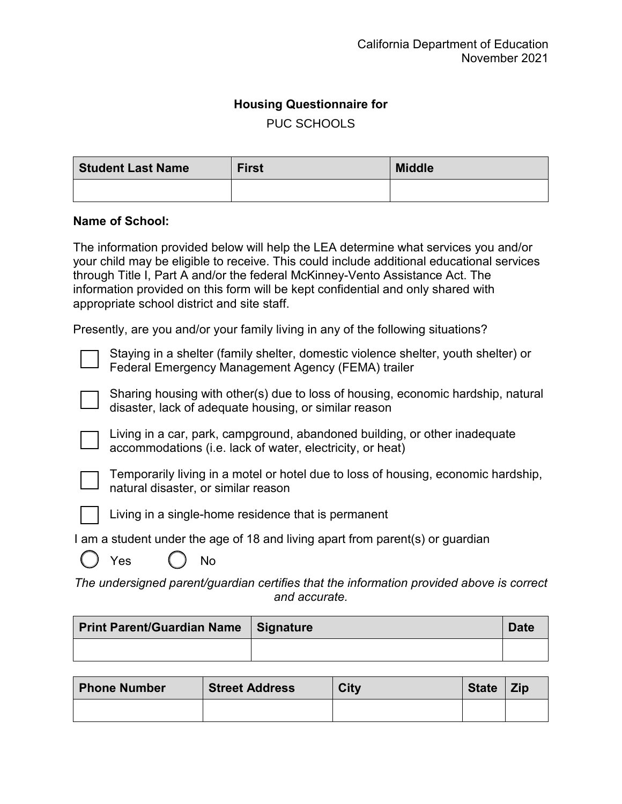## **Housing Questionnaire for**

PUC SCHOOLS

| <b>Student Last Name</b> | <b>First</b> | <b>Middle</b> |
|--------------------------|--------------|---------------|
|                          |              |               |

#### **Name of School:**

 The information provided below will help the LEA determine what services you and/or through Title I, Part A and/or the federal McKinney-Vento Assistance Act. The your child may be eligible to receive. This could include additional educational services information provided on this form will be kept confidential and only shared with appropriate school district and site staff.

Presently, are you and/or your family living in any of the following situations?

Staying in a shelter (family shelter, domestic violence shelter, youth shelter) or Federal Emergency Management Agency (FEMA) trailer

Sharing housing with other(s) due to loss of housing, economic hardship, natural disaster, lack of adequate housing, or similar reason



Living in a car, park, campground, abandoned building, or other inadequate accommodations (i.e. lack of water, electricity, or heat)



Temporarily living in a motel or hotel due to loss of housing, economic hardship, natural disaster, or similar reason



Living in a single-home residence that is permanent

I am a student under the age of 18 and living apart from parent(s) or guardian



Yes ( ) No

*The undersigned parent/guardian certifies that the information provided above is correct and accurate.* 

| Print Parent/Guardian Name   Signature | <b>Date</b> |
|----------------------------------------|-------------|
|                                        |             |

| <b>Phone Number</b> | <b>Street Address</b> | <b>City</b> | <b>State</b> | <b>Zip</b> |
|---------------------|-----------------------|-------------|--------------|------------|
|                     |                       |             |              |            |